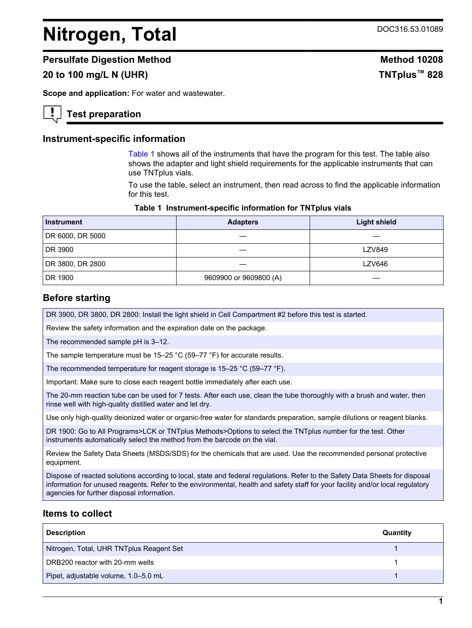# <span id="page-0-0"></span>**Nitrogen, Total** DOC316.53.01089

#### **Persulfate Digestion Method Method 10208**

# **20 to 100 mg/L N (UHR) TNTplus™ 828**

**Scope and application:** For water and wastewater.

#### **Test preparation**

#### **Instrument-specific information**

Table 1 shows all of the instruments that have the program for this test. The table also shows the adapter and light shield requirements for the applicable instruments that can use TNTplus vials.

To use the table, select an instrument, then read across to find the applicable information for this test.

#### **Table 1 Instrument-specific information for TNTplus vials**

| <b>Instrument</b> | <b>Adapters</b>        | <b>Light shield</b> |  |
|-------------------|------------------------|---------------------|--|
| DR 6000, DR 5000  |                        |                     |  |
| DR 3900           |                        | <b>LZV849</b>       |  |
| DR 3800, DR 2800  |                        | <b>LZV646</b>       |  |
| DR 1900           | 9609900 or 9609800 (A) |                     |  |

#### **Before starting**

DR 3900, DR 3800, DR 2800: Install the light shield in Cell Compartment #2 before this test is started.

Review the safety information and the expiration date on the package.

The recommended sample pH is 3–12.

The sample temperature must be 15–25 °C (59–77 °F) for accurate results.

The recommended temperature for reagent storage is 15–25 °C (59–77 °F).

Important: Make sure to close each reagent bottle immediately after each use.

The 20-mm reaction tube can be used for 7 tests. After each use, clean the tube thoroughly with a brush and water, then rinse well with high-quality distilled water and let dry.

Use only high-quality deionized water or organic-free water for standards preparation, sample dilutions or reagent blanks.

DR 1900: Go to All Programs>LCK or TNTplus Methods>Options to select the TNTplus number for the test. Other instruments automatically select the method from the barcode on the vial.

Review the Safety Data Sheets (MSDS/SDS) for the chemicals that are used. Use the recommended personal protective equipment.

Dispose of reacted solutions according to local, state and federal regulations. Refer to the Safety Data Sheets for disposal information for unused reagents. Refer to the environmental, health and safety staff for your facility and/or local regulatory agencies for further disposal information.

#### **Items to collect**

| <b>Description</b>                       | Quantity |
|------------------------------------------|----------|
| Nitrogen, Total, UHR TNTplus Reagent Set |          |
| DRB200 reactor with 20-mm wells          |          |
| Pipet, adjustable volume, 1.0-5.0 mL     |          |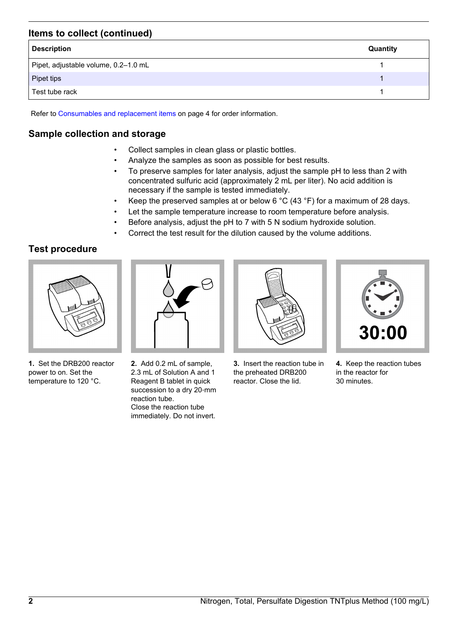# **Items to collect (continued)**

| <b>Description</b>                   | Quantity |
|--------------------------------------|----------|
| Pipet, adjustable volume, 0.2-1.0 mL |          |
| Pipet tips                           |          |
| Test tube rack                       |          |

Refer to [Consumables and replacement items](#page-3-0) on page 4 for order information.

# **Sample collection and storage**

- Collect samples in clean glass or plastic bottles.
- Analyze the samples as soon as possible for best results.
- To preserve samples for later analysis, adjust the sample pH to less than 2 with concentrated sulfuric acid (approximately 2 mL per liter). No acid addition is necessary if the sample is tested immediately.
- Keep the preserved samples at or below 6 °C (43 °F) for a maximum of 28 days.
- Let the sample temperature increase to room temperature before analysis.
- Before analysis, adjust the pH to 7 with 5 N sodium hydroxide solution.
- Correct the test result for the dilution caused by the volume additions.

# **Test procedure**



**1.** Set the DRB200 reactor power to on. Set the temperature to 120 °C.



**2.** Add 0.2 mL of sample, 2.3 mL of Solution A and 1 Reagent B tablet in quick succession to a dry 20-mm reaction tube. Close the reaction tube immediately. Do not invert.



**3.** Insert the reaction tube in the preheated DRB200 reactor. Close the lid.



**4.** Keep the reaction tubes in the reactor for 30 minutes.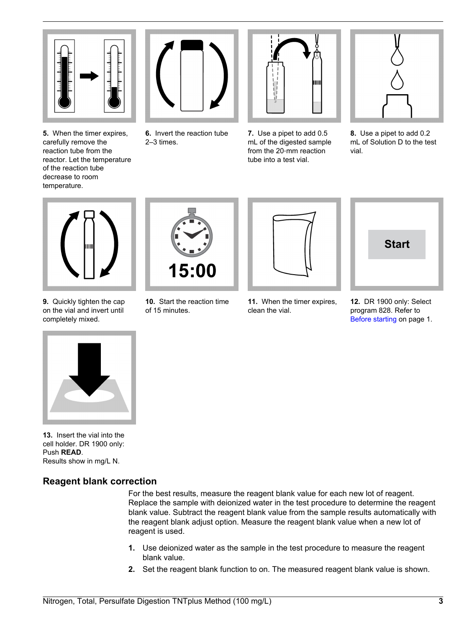

**5.** When the timer expires, carefully remove the reaction tube from the reactor. Let the temperature of the reaction tube decrease to room temperature.



**6.** Invert the reaction tube 2–3 times.



**7.** Use a pipet to add 0.5 mL of the digested sample from the 20‑mm reaction tube into a test vial.



**8.** Use a pipet to add 0.2 mL of Solution D to the test vial.



**9.** Quickly tighten the cap on the vial and invert until completely mixed.



**10.** Start the reaction time of 15 minutes.



**11.** When the timer expires,

clean the vial.



**12.** DR 1900 only: Select program 828. Refer to [Before starting](#page-0-0) on page 1.



**13.** Insert the vial into the cell holder. DR 1900 only: Push **READ**. Results show in mg/L N.

# **Reagent blank correction**

For the best results, measure the reagent blank value for each new lot of reagent. Replace the sample with deionized water in the test procedure to determine the reagent blank value. Subtract the reagent blank value from the sample results automatically with the reagent blank adjust option. Measure the reagent blank value when a new lot of reagent is used.

- **1.** Use deionized water as the sample in the test procedure to measure the reagent blank value.
- **2.** Set the reagent blank function to on. The measured reagent blank value is shown.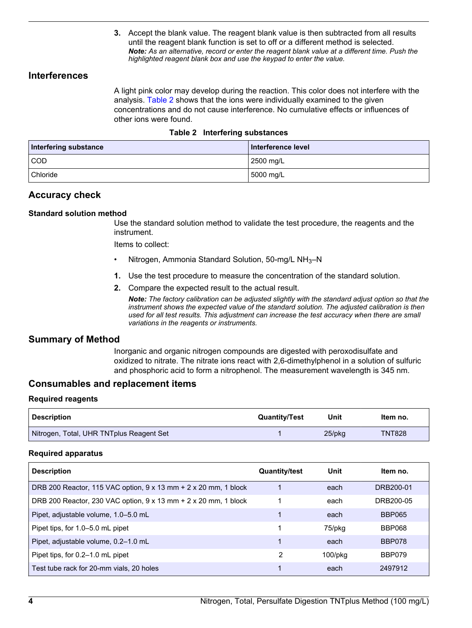**3.** Accept the blank value. The reagent blank value is then subtracted from all results until the reagent blank function is set to off or a different method is selected. *Note: As an alternative, record or enter the reagent blank value at a different time. Push the highlighted reagent blank box and use the keypad to enter the value.*

#### <span id="page-3-0"></span>**Interferences**

A light pink color may develop during the reaction. This color does not interfere with the analysis. Table 2 shows that the ions were individually examined to the given concentrations and do not cause interference. No cumulative effects or influences of other ions were found.

|  |  | Table 2 Interfering substances |
|--|--|--------------------------------|
|--|--|--------------------------------|

| <b>Interfering substance</b> | Interference level |
|------------------------------|--------------------|
| <b>COD</b>                   | 2500 mg/L          |
| Chloride                     | 5000 mg/L          |

#### **Accuracy check**

#### **Standard solution method**

Use the standard solution method to validate the test procedure, the reagents and the instrument.

Items to collect:

- Nitrogen, Ammonia Standard Solution, 50-mg/L NH3–N
- **1.** Use the test procedure to measure the concentration of the standard solution.
- **2.** Compare the expected result to the actual result.

*Note: The factory calibration can be adjusted slightly with the standard adjust option so that the instrument shows the expected value of the standard solution. The adjusted calibration is then used for all test results. This adjustment can increase the test accuracy when there are small variations in the reagents or instruments.*

#### **Summary of Method**

Inorganic and organic nitrogen compounds are digested with peroxodisulfate and oxidized to nitrate. The nitrate ions react with 2,6-dimethylphenol in a solution of sulfuric and phosphoric acid to form a nitrophenol. The measurement wavelength is 345 nm.

#### **Consumables and replacement items**

#### **Required reagents**

| <b>Description</b>                       | <b>Quantity/Test</b> | Unit   | Item no.      |
|------------------------------------------|----------------------|--------|---------------|
| Nitrogen, Total, UHR TNTplus Reagent Set |                      | 25/pkg | <b>TNT828</b> |

#### **Required apparatus**

| <b>Description</b>                                              | <b>Quantity/test</b> | Unit          | Item no.      |
|-----------------------------------------------------------------|----------------------|---------------|---------------|
| DRB 200 Reactor, 115 VAC option, 9 x 13 mm + 2 x 20 mm, 1 block |                      | each          | DRB200-01     |
| DRB 200 Reactor, 230 VAC option, 9 x 13 mm + 2 x 20 mm, 1 block |                      | each          | DRB200-05     |
| Pipet, adjustable volume, 1.0-5.0 mL                            |                      | each          | <b>BBP065</b> |
| Pipet tips, for 1.0–5.0 mL pipet                                |                      | 75/pkg        | <b>BBP068</b> |
| Pipet, adjustable volume, 0.2-1.0 mL                            |                      | each          | <b>BBP078</b> |
| Pipet tips, for 0.2–1.0 mL pipet                                | 2                    | $100$ /p $ka$ | BBP079        |
| Test tube rack for 20-mm vials, 20 holes                        |                      | each          | 2497912       |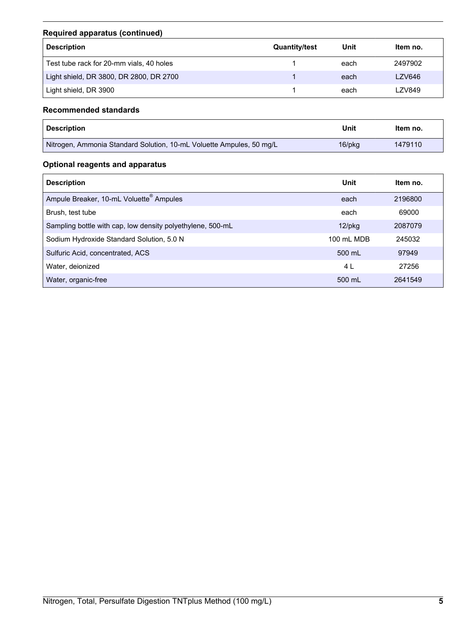## **Required apparatus (continued)**

| <b>Description</b>                       | <b>Quantity/test</b> | Unit | Item no. |
|------------------------------------------|----------------------|------|----------|
| Test tube rack for 20-mm vials, 40 holes |                      | each | 2497902  |
| Light shield, DR 3800, DR 2800, DR 2700  |                      | each | LZV646   |
| Light shield, DR 3900                    |                      | each | LZV849   |

### **Recommended standards**

| <b>Description</b>                                                   | Unit         | Item no. |
|----------------------------------------------------------------------|--------------|----------|
| Nitrogen, Ammonia Standard Solution, 10-mL Voluette Ampules, 50 mg/L | $16$ /p $kg$ | 1479110  |

# **Optional reagents and apparatus**

| <b>Description</b>                                         | Unit       | ltem no. |
|------------------------------------------------------------|------------|----------|
| Ampule Breaker, 10-mL Voluette <sup>®</sup> Ampules        | each       | 2196800  |
| Brush, test tube                                           | each       | 69000    |
| Sampling bottle with cap, low density polyethylene, 500-mL | $12$ /pkg  | 2087079  |
| Sodium Hydroxide Standard Solution, 5.0 N                  | 100 mL MDB | 245032   |
| Sulfuric Acid, concentrated, ACS                           | 500 mL     | 97949    |
| Water, deionized                                           | 4 L        | 27256    |
| Water, organic-free                                        | 500 mL     | 2641549  |